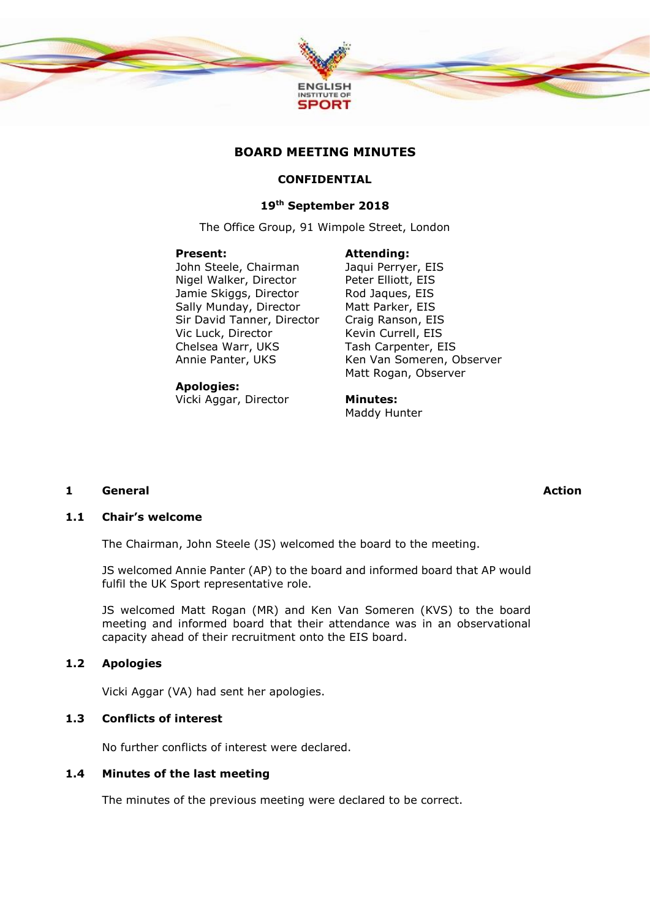

# **BOARD MEETING MINUTES**

## **CONFIDENTIAL**

### **19th September 2018**

The Office Group, 91 Wimpole Street, London

#### **Present:**

John Steele, Chairman Nigel Walker, Director Jamie Skiggs, Director Sally Munday, Director Sir David Tanner, Director Vic Luck, Director Chelsea Warr, UKS Annie Panter, UKS

#### **Apologies:**

Vicki Aggar, Director

Jaqui Perryer, EIS Peter Elliott, EIS Rod Jaques, EIS Matt Parker, EIS Craig Ranson, EIS Kevin Currell, EIS Tash Carpenter, EIS Ken Van Someren, Observer Matt Rogan, Observer

**Minutes:** Maddy Hunter

**Attending:**

#### **1 General Action**

#### **1.1 Chair's welcome**

The Chairman, John Steele (JS) welcomed the board to the meeting.

JS welcomed Annie Panter (AP) to the board and informed board that AP would fulfil the UK Sport representative role.

JS welcomed Matt Rogan (MR) and Ken Van Someren (KVS) to the board meeting and informed board that their attendance was in an observational capacity ahead of their recruitment onto the EIS board.

## **1.2 Apologies**

Vicki Aggar (VA) had sent her apologies.

## **1.3 Conflicts of interest**

No further conflicts of interest were declared.

## **1.4 Minutes of the last meeting**

The minutes of the previous meeting were declared to be correct.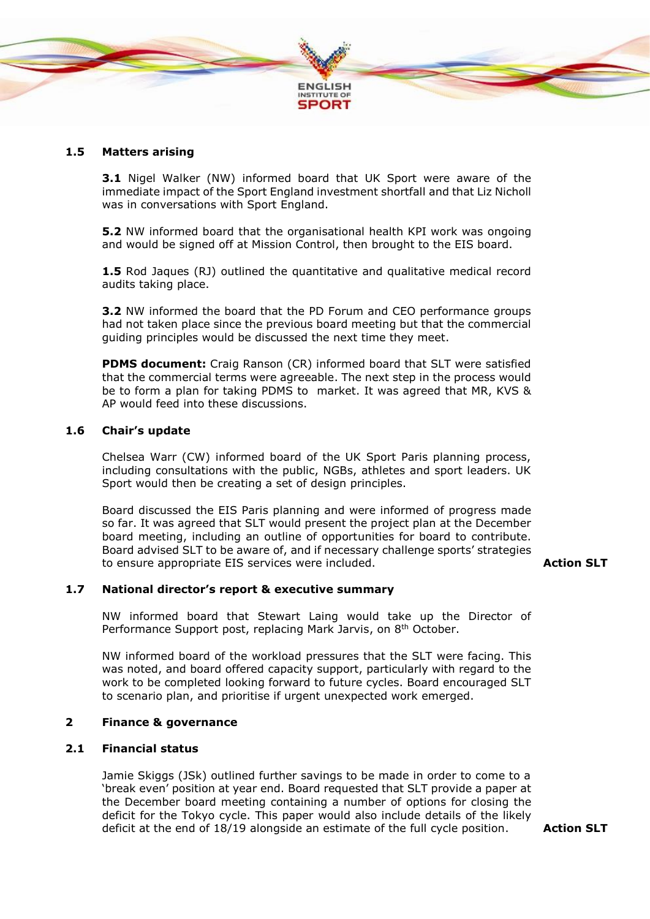

# **1.5 Matters arising**

**3.1** Nigel Walker (NW) informed board that UK Sport were aware of the immediate impact of the Sport England investment shortfall and that Liz Nicholl was in conversations with Sport England.

**5.2** NW informed board that the organisational health KPI work was ongoing and would be signed off at Mission Control, then brought to the EIS board.

**1.5** Rod Jaques (RJ) outlined the quantitative and qualitative medical record audits taking place.

**3.2** NW informed the board that the PD Forum and CEO performance groups had not taken place since the previous board meeting but that the commercial guiding principles would be discussed the next time they meet.

**PDMS document:** Craig Ranson (CR) informed board that SLT were satisfied that the commercial terms were agreeable. The next step in the process would be to form a plan for taking PDMS to market. It was agreed that MR, KVS & AP would feed into these discussions.

#### **1.6 Chair's update**

Chelsea Warr (CW) informed board of the UK Sport Paris planning process, including consultations with the public, NGBs, athletes and sport leaders. UK Sport would then be creating a set of design principles.

Board discussed the EIS Paris planning and were informed of progress made so far. It was agreed that SLT would present the project plan at the December board meeting, including an outline of opportunities for board to contribute. Board advised SLT to be aware of, and if necessary challenge sports' strategies to ensure appropriate EIS services were included. **Action SLT**

#### **1.7 National director's report & executive summary**

NW informed board that Stewart Laing would take up the Director of Performance Support post, replacing Mark Jarvis, on 8<sup>th</sup> October.

NW informed board of the workload pressures that the SLT were facing. This was noted, and board offered capacity support, particularly with regard to the work to be completed looking forward to future cycles. Board encouraged SLT to scenario plan, and prioritise if urgent unexpected work emerged.

## **2 Finance & governance**

### **2.1 Financial status**

Jamie Skiggs (JSk) outlined further savings to be made in order to come to a 'break even' position at year end. Board requested that SLT provide a paper at the December board meeting containing a number of options for closing the deficit for the Tokyo cycle. This paper would also include details of the likely deficit at the end of 18/19 alongside an estimate of the full cycle position. **Action SLT**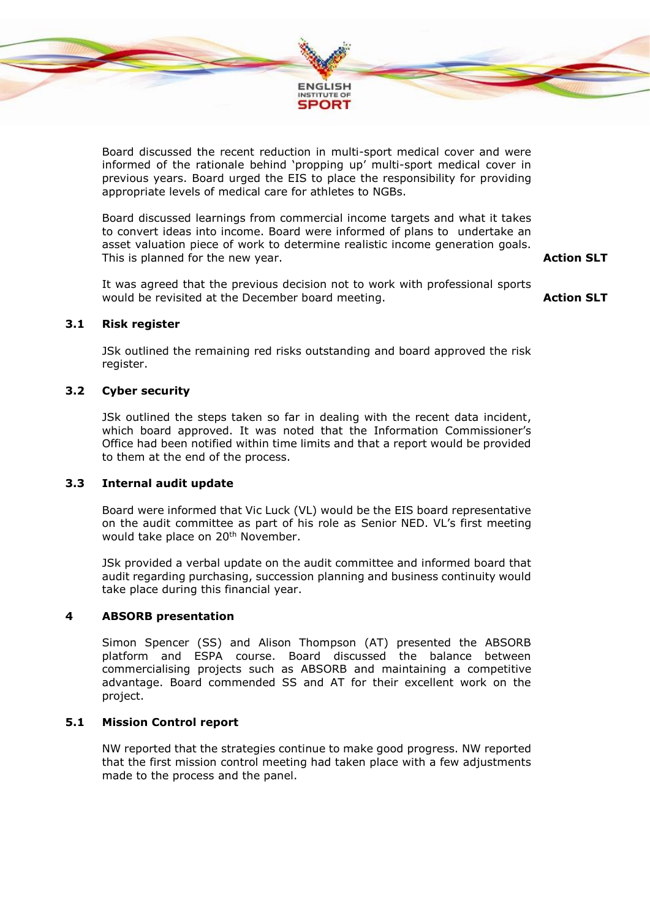

Board discussed the recent reduction in multi-sport medical cover and were informed of the rationale behind 'propping up' multi-sport medical cover in previous years. Board urged the EIS to place the responsibility for providing appropriate levels of medical care for athletes to NGBs.

Board discussed learnings from commercial income targets and what it takes to convert ideas into income. Board were informed of plans to undertake an asset valuation piece of work to determine realistic income generation goals. This is planned for the new year.

**Action SLT**

It was agreed that the previous decision not to work with professional sports would be revisited at the December board meeting.

**Action SLT**

## **3.1 Risk register**

JSk outlined the remaining red risks outstanding and board approved the risk register.

## **3.2 Cyber security**

JSk outlined the steps taken so far in dealing with the recent data incident, which board approved. It was noted that the Information Commissioner's Office had been notified within time limits and that a report would be provided to them at the end of the process.

## **3.3 Internal audit update**

Board were informed that Vic Luck (VL) would be the EIS board representative on the audit committee as part of his role as Senior NED. VL's first meeting would take place on 20<sup>th</sup> November.

JSk provided a verbal update on the audit committee and informed board that audit regarding purchasing, succession planning and business continuity would take place during this financial year.

#### **4 ABSORB presentation**

Simon Spencer (SS) and Alison Thompson (AT) presented the ABSORB platform and ESPA course. Board discussed the balance between commercialising projects such as ABSORB and maintaining a competitive advantage. Board commended SS and AT for their excellent work on the project.

# **5.1 Mission Control report**

NW reported that the strategies continue to make good progress. NW reported that the first mission control meeting had taken place with a few adjustments made to the process and the panel.